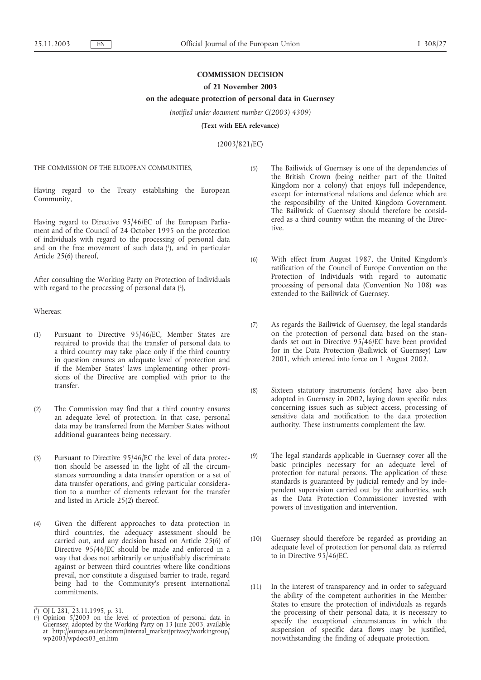# **COMMISSION DECISION**

### **of 21 November 2003**

## **on the adequate protection of personal data in Guernsey**

*(notified under document number C(2003) 4309)*

**(Text with EEA relevance)**

(2003/821/EC)

THE COMMISSION OF THE EUROPEAN COMMUNITIES,

Having regard to the Treaty establishing the European Community,

Having regard to Directive 95/46/EC of the European Parliament and of the Council of 24 October 1995 on the protection of individuals with regard to the processing of personal data and on the free movement of such data (1), and in particular Article 25(6) thereof,

After consulting the Working Party on Protection of Individuals with regard to the processing of personal data  $(2)$ ,

Whereas:

- (1) Pursuant to Directive 95/46/EC, Member States are required to provide that the transfer of personal data to a third country may take place only if the third country in question ensures an adequate level of protection and if the Member States' laws implementing other provisions of the Directive are complied with prior to the transfer.
- (2) The Commission may find that a third country ensures an adequate level of protection. In that case, personal data may be transferred from the Member States without additional guarantees being necessary.
- (3) Pursuant to Directive 95/46/EC the level of data protection should be assessed in the light of all the circumstances surrounding a data transfer operation or a set of data transfer operations, and giving particular consideration to a number of elements relevant for the transfer and listed in Article 25(2) thereof.
- (4) Given the different approaches to data protection in third countries, the adequacy assessment should be carried out, and any decision based on Article 25(6) of Directive 95/46/EC should be made and enforced in a way that does not arbitrarily or unjustifiably discriminate against or between third countries where like conditions prevail, nor constitute a disguised barrier to trade, regard being had to the Community's present international commitments.
- (5) The Bailiwick of Guernsey is one of the dependencies of the British Crown (being neither part of the United Kingdom nor a colony) that enjoys full independence, except for international relations and defence which are the responsibility of the United Kingdom Government. The Bailiwick of Guernsey should therefore be considered as a third country within the meaning of the Directive.
- (6) With effect from August 1987, the United Kingdom's ratification of the Council of Europe Convention on the Protection of Individuals with regard to automatic processing of personal data (Convention No 108) was extended to the Bailiwick of Guernsey.
- (7) As regards the Bailiwick of Guernsey, the legal standards on the protection of personal data based on the standards set out in Directive 95/46/EC have been provided for in the Data Protection (Bailiwick of Guernsey) Law 2001, which entered into force on 1 August 2002.
- (8) Sixteen statutory instruments (orders) have also been adopted in Guernsey in 2002, laying down specific rules concerning issues such as subject access, processing of sensitive data and notification to the data protection authority. These instruments complement the law.
- (9) The legal standards applicable in Guernsey cover all the basic principles necessary for an adequate level of protection for natural persons. The application of these standards is guaranteed by judicial remedy and by independent supervision carried out by the authorities, such as the Data Protection Commissioner invested with powers of investigation and intervention.
- (10) Guernsey should therefore be regarded as providing an adequate level of protection for personal data as referred to in Directive 95/46/EC.
- (11) In the interest of transparency and in order to safeguard the ability of the competent authorities in the Member States to ensure the protection of individuals as regards the processing of their personal data, it is necessary to specify the exceptional circumstances in which the suspension of specific data flows may be justified, notwithstanding the finding of adequate protection.

<sup>(</sup> 1 ) OJ L 281, 23.11.1995, p. 31.

 $(2)$ ) Opinion 5/2003 on the level of protection of personal data in Guernsey, adopted by the Working Party on 13 June 2003, available at http://europa.eu.int/comm/internal\_market/privacy/workingroup/ wp2003/wpdocs03\_en.htm